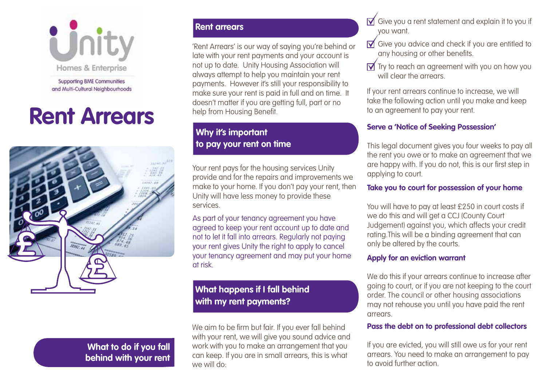

**Supporting BME Communities** and Multi-Cultural Neighbourhoods

# **Rent Arrears**



# **What to do if you fall behind with your rent**

#### **Rent arrears**

'Rent Arrears' is our way of saying you're behind or late with your rent payments and your account is not up to date. Unity Housing Association will always attempt to help you maintain your rent payments. However it's still your responsibility to make sure your rent is paid in full and on time. It doesn't matter if you are getting full, part or no help from Housing Benefit.

## **Why it's important to pay your rent on time**

Your rent pays for the housing services Unity provide and for the repairs and improvements we make to your home. If you don't pay your rent, then Unity will have less money to provide these services.

As part of your tenancy agreement you have agreed to keep your rent account up to date and not to let it fall into arrears. Regularly not paying your rent gives Unity the right to apply to cancel your tenancy agreement and may put your home at risk.

### **What happens if I fall behind with my rent payments?**

We aim to be firm but fair. If you ever fall behind with your rent, we will give you sound advice and work with you to make an arrangement that you can keep. If you are in small arrears, this is what we will do:

- $\overline{\mathsf{M}}$  Give you a rent statement and explain it to you if you want.
- $\overrightarrow{V}$  Give you advice and check if you are entitled to any housing or other benefits.
- $\overline{M}$  Try to reach an agreement with you on how you will clear the arrears.

If your rent arrears continue to increase, we will take the following action until you make and keep to an agreement to pay your rent.

#### **Serve a 'Notice of Seeking Possession'**

This legal document gives you four weeks to pay all the rent you owe or to make an agreement that we are happy with. If you do not, this is our first step in applying to court.

#### **Take you to court for possession of your home**

You will have to pay at least £250 in court costs if we do this and will get a CCJ (County Court Judgement) against you, which affects your credit rating.This will be a binding agreement that can only be altered by the courts.

#### **Apply for an eviction warrant**

We do this if your arrears continue to increase after going to court, or if you are not keeping to the court order. The council or other housing associations may not rehouse you until you have paid the rent arrears.

#### **Pass the debt on to professional debt collectors**

If you are evicted, you will still owe us for your rent arrears. You need to make an arrangement to pay to avoid further action.